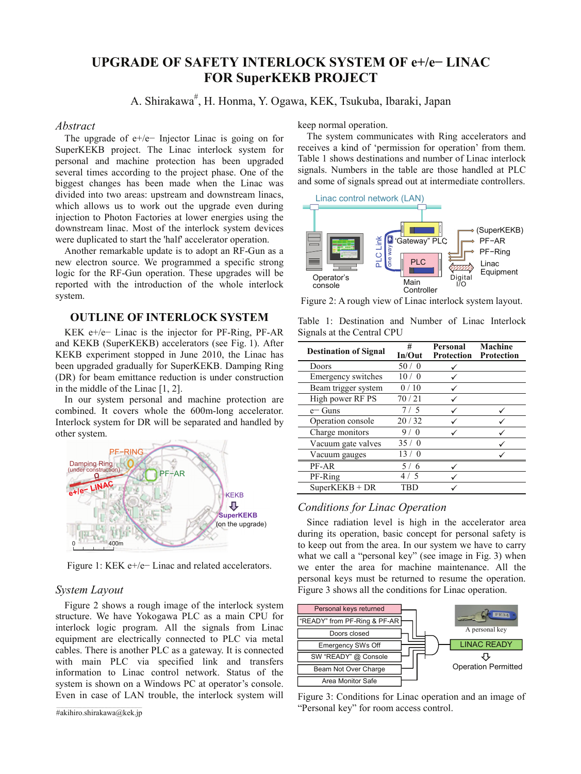# **UPGRADE OF SAFETY INTERLOCK SYSTEM OF e+/eí LINAC FOR SuperKEKB PROJECT**

A. Shirakawa<sup>#</sup>, H. Honma, Y. Ogawa, KEK, Tsukuba, Ibaraki, Japan

#### *Abstract*

The upgrade of  $e^{+}/e^{-}$  Injector Linac is going on for SuperKEKB project. The Linac interlock system for personal and machine protection has been upgraded several times according to the project phase. One of the biggest changes has been made when the Linac was divided into two areas: upstream and downstream linacs, which allows us to work out the upgrade even during injection to Photon Factories at lower energies using the downstream linac. Most of the interlock system devices were duplicated to start the 'half' accelerator operation.

Another remarkable update is to adopt an RF-Gun as a new electron source. We programmed a specific strong logic for the RF-Gun operation. These upgrades will be reported with the introduction of the whole interlock system.

## **OUTLINE OF INTERLOCK SYSTEM**

KEK  $e$ +/ $e$ – Linac is the injector for PF-Ring, PF-AR and KEKB (SuperKEKB) accelerators (see Fig. 1). After KEKB experiment stopped in June 2010, the Linac has been upgraded gradually for SuperKEKB. Damping Ring (DR) for beam emittance reduction is under construction in the middle of the Linac [1, 2].

In our system personal and machine protection are combined. It covers whole the 600m-long accelerator. Interlock system for DR will be separated and handled by other system.



Figure 1: KEK  $e$ +/ $e$ <sup>-</sup> Linac and related accelerators.

### *System Layout*

Figure 2 shows a rough image of the interlock system structure. We have Yokogawa PLC as a main CPU for interlock logic program. All the signals from Linac equipment are electrically connected to PLC via metal cables. There is another PLC as a gateway. It is connected with main PLC via specified link and transfers information to Linac control network. Status of the system is shown on a Windows PC at operator's console. Even in case of LAN trouble, the interlock system will keep normal operation.

The system communicates with Ring accelerators and receives a kind of 'permission for operation' from them. Table 1 shows destinations and number of Linac interlock signals. Numbers in the table are those handled at PLC and some of signals spread out at intermediate controllers.



Figure 2: A rough view of Linac interlock system layout.

Table 1: Destination and Number of Linac Interlock Signals at the Central CPU

| <b>Destination of Signal</b> | #<br>In/Out     | Personal<br>Protection | Machine<br><b>Protection</b> |
|------------------------------|-----------------|------------------------|------------------------------|
| Doors                        | 50/<br>$\Omega$ |                        |                              |
| Emergency switches           | 10 / 0          |                        |                              |
| Beam trigger system          | 0/10            |                        |                              |
| High power RF PS             | 70/21           |                        |                              |
| $e$ – Guns                   | 7/5             |                        |                              |
| Operation console            | 20/32           |                        |                              |
| Charge monitors              | ∩               |                        |                              |
| Vacuum gate valves           | 35/0            |                        |                              |
| Vacuum gauges                |                 |                        |                              |
| PF-AR                        | 6               |                        |                              |
| PF-Ring                      |                 |                        |                              |
| $SuperKEKB + DR$             | I'RL            |                        |                              |

## *Conditions for Linac Operation*

Since radiation level is high in the accelerator area during its operation, basic concept for personal safety is to keep out from the area. In our system we have to carry what we call a "personal key" (see image in Fig. 3) when we enter the area for machine maintenance. All the personal keys must be returned to resume the operation. Figure 3 shows all the conditions for Linac operation.



Figure 3: Conditions for Linac operation and an image of "Personal key" for room access control.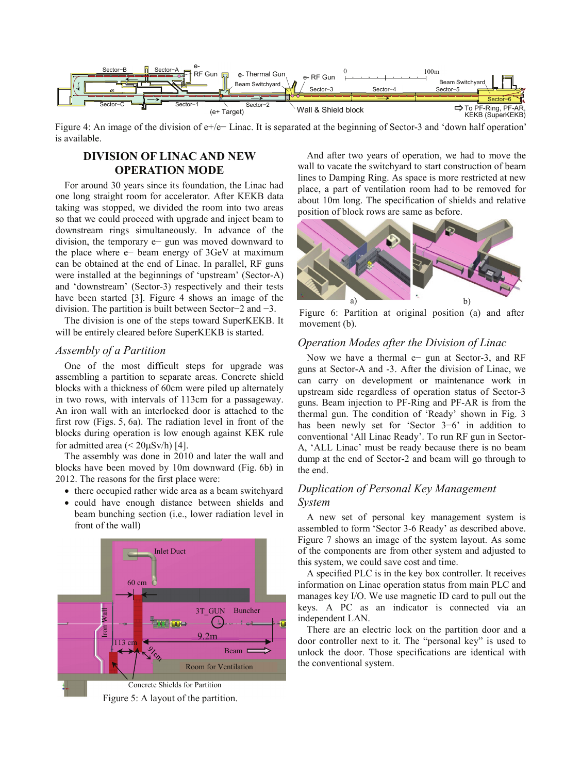

Figure 4: An image of the division of  $e$ +/ $e$ – Linac. It is separated at the beginning of Sector-3 and 'down half operation' is available.

# **DIVISION OF LINAC AND NEW OPERATION MODE**

For around 30 years since its foundation, the Linac had one long straight room for accelerator. After KEKB data taking was stopped, we divided the room into two areas so that we could proceed with upgrade and inject beam to downstream rings simultaneously. In advance of the division, the temporary  $e$  gun was moved downward to the place where  $e$  beam energy of 3GeV at maximum can be obtained at the end of Linac. In parallel, RF guns were installed at the beginnings of 'upstream' (Sector-A) and 'downstream' (Sector-3) respectively and their tests have been started [3]. Figure 4 shows an image of the division. The partition is built between Sector–2 and  $-3$ .

The division is one of the steps toward SuperKEKB. It will be entirely cleared before SuperKEKB is started.

### *Assembly of a Partition*

One of the most difficult steps for upgrade was assembling a partition to separate areas. Concrete shield blocks with a thickness of 60cm were piled up alternately in two rows, with intervals of 113cm for a passageway. An iron wall with an interlocked door is attached to the first row (Figs. 5, 6a). The radiation level in front of the blocks during operation is low enough against KEK rule for admitted area  $(< 20 \mu Sv/h$  [4].

The assembly was done in 2010 and later the wall and blocks have been moved by 10m downward (Fig. 6b) in 2012. The reasons for the first place were:

- there occupied rather wide area as a beam switchyard
- could have enough distance between shields and beam bunching section (i.e., lower radiation level in front of the wall)





And after two years of operation, we had to move the wall to vacate the switchyard to start construction of beam lines to Damping Ring. As space is more restricted at new place, a part of ventilation room had to be removed for about 10m long. The specification of shields and relative position of block rows are same as before.



Figure 6: Partition at original position (a) and after movement (b).

### *Operation Modes after the Division of Linac*

Now we have a thermal  $e$  gun at Sector-3, and RF guns at Sector-A and -3. After the division of Linac, we can carry on development or maintenance work in upstream side regardless of operation status of Sector-3 guns. Beam injection to PF-Ring and PF-AR is from the thermal gun. The condition of 'Ready' shown in Fig. 3 has been newly set for 'Sector  $3-6$ ' in addition to conventional 'All Linac Ready'. To run RF gun in Sector-A, 'ALL Linac' must be ready because there is no beam dump at the end of Sector-2 and beam will go through to the end.

## *Duplication of Personal Key Management System*

A new set of personal key management system is assembled to form 'Sector 3-6 Ready' as described above. Figure 7 shows an image of the system layout. As some of the components are from other system and adjusted to this system, we could save cost and time.

A specified PLC is in the key box controller. It receives information on Linac operation status from main PLC and manages key I/O. We use magnetic ID card to pull out the keys. A PC as an indicator is connected via an independent LAN.

There are an electric lock on the partition door and a door controller next to it. The "personal key" is used to unlock the door. Those specifications are identical with the conventional system.